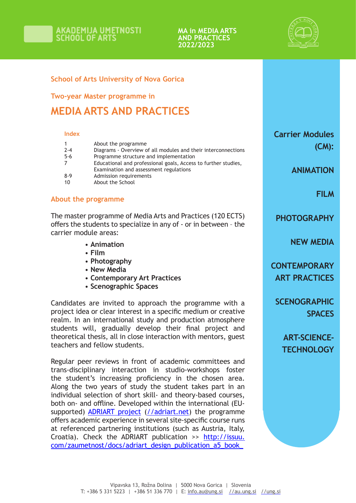#### **MA in MEDIA ARTS AND PRACTICES 2022/2023**



# **School of Arts University of Nova Gorica**

**Two-year Master programme in** 

# **MEDIA ARTS AND PRACTICES**

#### **Index**

|         | About the programme                                            |
|---------|----------------------------------------------------------------|
| $2 - 4$ | Diagrams - Overview of all modules and their interconnections  |
| $5 - 6$ | Programme structure and implementation                         |
|         | Educational and professional goals, Access to further studies, |
|         | Examination and assessment regulations                         |
| $8-9$   | Admission requirements                                         |
| 10      | About the School                                               |

### **About the programme**

The master programme of Media Arts and Practices (120 ECTS) offers the students to specialize in any of - or in between – the carrier module areas:

- **Animation**
- **Film**
- **Photography**
- **New Media**
- **Contemporary Art Practices**
- **Scenographic Spaces**

Candidates are invited to approach the programme with a project idea or clear interest in a specific medium or creative realm. In an international study and production atmosphere students will, gradually develop their final project and theoretical thesis, all in close interaction with mentors, guest teachers and fellow students.

Regular peer reviews in front of academic committees and trans-disciplinary interaction in studio-workshops foster the student's increasing proficiency in the chosen area. Along the two years of study the student takes part in an individual selection of short skill- and theory-based courses, both on- and offline. Developed within the international (EUsupported) ADRIART project (//adriart.net) the programme offers academic experience in several site-specific course runs at referenced partnering institutions (such as Austria, Italy, Croatia). Check the ADRIART publication >> http://issuu. com/zaumetnost/docs/adriart\_design\_publication\_a5\_book\_

**Carrier Modules (CM):**

**ANIMATION**

**FILM**

**PHOTOGRAPHY**

**NEW MEDIA**

**CONTEMPORARY ART PRACTICES**

**SCENOGRAPHIC SPACES**

**ART-SCIENCE-TECHNOLOGY**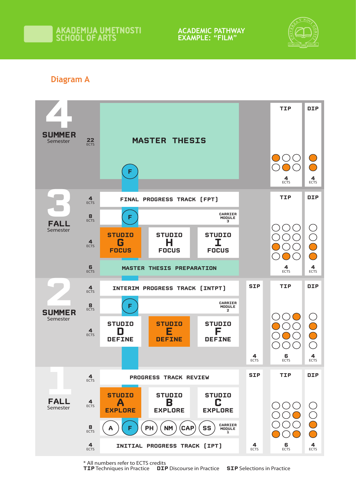**ACADEMIC PATHWAY EXAMPLE: "FILM"**



# **Diagram A**



\* All numbers refer to ECTS credits

**TIP** Techniques in Practice **DIP** Discourse in Practice **SIP** Selections in Practice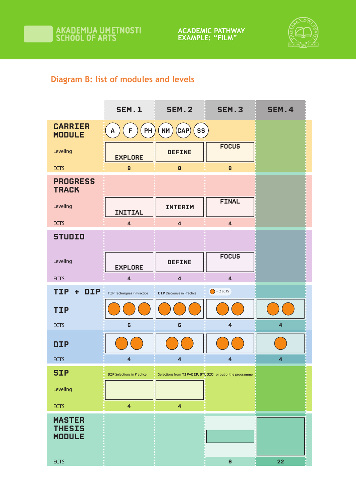

# **Diagram B: list of modules and levels**

|                                                                | <b>SEM.1</b>                      | <b>SEM.2</b>                        | <b>SEM.3</b>                                             | <b>SEM.4</b>            |
|----------------------------------------------------------------|-----------------------------------|-------------------------------------|----------------------------------------------------------|-------------------------|
| <b>CARRIER</b><br><b>MODULE</b>                                | PH<br>F<br>A                      | $(\mathsf{CAP})$<br>SS<br><b>NM</b> |                                                          |                         |
| Leveling                                                       | <b>EXPLORE</b>                    | <b>DEFINE</b>                       | <b>FOCUS</b>                                             |                         |
| <b>ECTS</b>                                                    | 8                                 | 8                                   | 8                                                        |                         |
| <b>PROGRESS</b><br><b>TRACK</b>                                |                                   |                                     |                                                          |                         |
| Leveling                                                       | <b>INITIAL</b>                    | <b>INTERIM</b>                      | <b>FINAL</b>                                             |                         |
| <b>ECTS</b>                                                    | $\overline{\mathbf{4}}$           | $\overline{4}$                      | $\overline{\mathbf{4}}$                                  |                         |
| <b>STUDIO</b>                                                  |                                   |                                     |                                                          |                         |
| Leveling                                                       | <b>EXPLORE</b>                    | <b>DEFINE</b>                       | <b>FOCUS</b>                                             |                         |
| <b>ECTS</b>                                                    | $\overline{\mathbf{4}}$           | $\overline{\mathbf{4}}$             | $\overline{4}$                                           |                         |
|                                                                |                                   |                                     |                                                          |                         |
| <b>DIP</b><br><b>TIP</b><br>$\ddot{\phantom{1}}$               | TIP Techniques in Practice        | <b>DIP</b> Discourse in Practice    | $\bigcirc$ = 2 ECTS                                      |                         |
| <b>TIP</b>                                                     |                                   |                                     |                                                          |                         |
| <b>ECTS</b>                                                    | 6                                 | 6                                   | $\overline{4}$                                           | 4                       |
| <b>DIP</b>                                                     |                                   |                                     |                                                          |                         |
| <b>ECTS</b>                                                    | 4                                 | 4                                   | 4                                                        | $\overline{\mathbf{4}}$ |
| <b>SIP</b>                                                     | <b>SIP</b> Selections in Practice |                                     | Selections from TIP+DIP, STUDIO or out of the programme. |                         |
| Leveling                                                       |                                   |                                     |                                                          |                         |
| <b>ECTS</b>                                                    | $\overline{\mathbf{4}}$           | $\overline{\mathbf{4}}$             |                                                          |                         |
| <b>MASTER</b><br><b>THESIS</b><br><b>MODULE</b><br><b>ECTS</b> |                                   |                                     | 6                                                        | 22                      |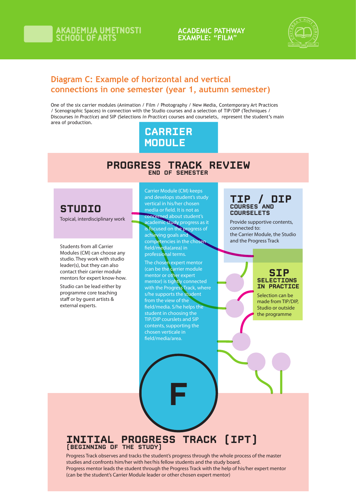# **ACADEMIC PATHWAY EXAMPLE: "FILM"**



# **Diagram C: Example of horizontal and vertical connections in one semester (year 1, autumn semester)**

One of the six carrier modules (Animation / Film / Photography / New Media, Contemporary Art Practices / Scenographic Spaces) in connection with the Studio courses and a selection of TIP/DIP (Techniques / Discourses *in Practice*) and SIP (Selections *in Practice*) courses and courselets, represent the student's main area of production.

# **CARRIER MODULE**

## **PROGRESS TRACK REVIEW END OF SEMESTER**

# **STUDIO**

Topical, interdisciplinary work

Students from all Carrier Modules (CM) can choose any studio. They work with studio leader(s), but they can also contact their carrier module mentors for expert know-how.

Studio can be lead either by programme core teaching staff or by guest artists & external experts.

**Carrier Module (CM) keeps and develops student's study vertical in his/her chosen**  media or field. It is not as **concerned about student's academic study progress as it is focused on the progress of achieving goals and competencies in the chosen eld/media(area) in professional terms.**

**The chosen expert mentor (can be the carrier module mentor or other expert mentor) is tightly connected with the Progress Track, where s/he supports the student from the view of the eld/media. S/he helps the student in choosing the TIP/DIP courslets and SIP contents, supporting the chosen verticale in eld/media/area.**

#### **TIP / DIP COURSES AND COURSELETS**

Provide supportive contents, connected to: the Carrier Module, the Studio and the Progress Track

# **SIP SELECTIONS IN PRACTICE**

Selection can be made from TIP/DIP, Studio or outside the programme

# **INITIAL PROGRESS TRACK (IPT) (BEGINNING OF THE STUDY)**

Progress Track observes and tracks the student's progress through the whole process of the master studies and confronts him/her with her/his fellow students and the study board. Progress mentor leads the student through the Progress Track with the help of his/her expert mentor (can be the student's Carrier Module leader or other chosen expert mentor)

**F**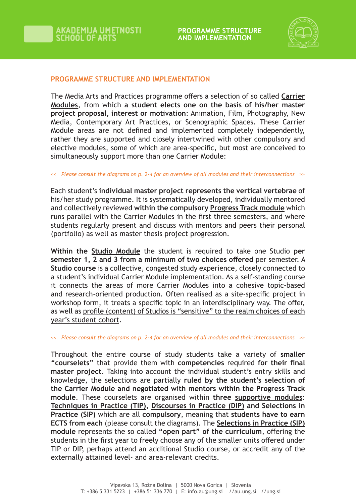

## **PROGRAMME STRUCTURE AND IMPLEMENTATION**

The Media Arts and Practices programme offers a selection of so called **Carrier Modules**, from which **a student elects one on the basis of his/her master project proposal, interest or motivation**: Animation, Film, Photography, New Media, Contemporary Art Practices, or Scenographic Spaces. These Carrier Module areas are not defined and implemented completely independently, rather they are supported and closely intertwined with other compulsory and elective modules, some of which are area-specific, but most are conceived to simultaneously support more than one Carrier Module:

#### << *Please consult the diagrams on p. 2-4 for an overview of all modules and their interconnections* >>

Each student's **individual master project represents the vertical vertebrae** of his/her study programme. It is systematically developed, individually mentored and collectively reviewed **within the compulsory Progress Track module** which runs parallel with the Carrier Modules in the first three semesters, and where students regularly present and discuss with mentors and peers their personal (portfolio) as well as master thesis project progression.

**Within the Studio Module** the student is required to take one Studio **per semester 1, 2 and 3 from a minimum of two choices offered** per semester. A **Studio course** is a collective, congested study experience, closely connected to a student's individual Carrier Module implementation. As a self-standing course it connects the areas of more Carrier Modules into a cohesive topic-based and research-oriented production. Often realised as a site-specific project in workshop form, it treats a specific topic in an interdisciplinary way. The offer, as well as profile (content) of Studios is "sensitive" to the realm choices of each year's student cohort.

#### << *Please consult the diagrams on p. 2-4 for an overview of all modules and their interconnections* >>

Throughout the entire course of study students take a variety of **smaller "courselets"** that provide them with **competencies** required **for their final master project**. Taking into account the individual student's entry skills and knowledge, the selections are partially **ruled by the student's selection of the Carrier Module and negotiated with mentors within the Progress Track module**. These courselets are organised within **three supportive modules**: **Techniques in Practice (TIP), Discourses in Practice (DIP) and Selections in Practice (SIP)** which are all **compulsory**, meaning that **students have to earn ECTS from each** (please consult the diagrams). The **Selections in Practice (SIP) module** represents the so called **"open part" of the curriculum**, offering the students in the first year to freely choose any of the smaller units offered under TIP or DIP, perhaps attend an additional Studio course, or accredit any of the externally attained level- and area-relevant credits.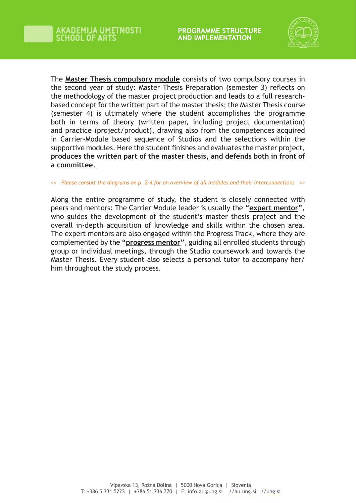

The **Master Thesis compulsory module** consists of two compulsory courses in the second year of study: Master Thesis Preparation (semester 3) reflects on the methodology of the master project production and leads to a full researchbased concept for the written part of the master thesis; the Master Thesis course (semester 4) is ultimately where the student accomplishes the programme both in terms of theory (written paper, including project documentation) and practice (project/product), drawing also from the competences acquired in Carrier-Module based sequence of Studios and the selections within the supportive modules. Here the student finishes and evaluates the master project, **produces the written part of the master thesis, and defends both in front of a committee**.

#### << *Please consult the diagrams on p. 2-4 for an overview of all modules and their interconnections* >>

Along the entire programme of study, the student is closely connected with peers and mentors: The Carrier Module leader is usually the **"expert mentor"**, who guides the development of the student's master thesis project and the overall in-depth acquisition of knowledge and skills within the chosen area. The expert mentors are also engaged within the Progress Track, where they are complemented by the **"progress mentor"**, guiding all enrolled students through group or individual meetings, through the Studio coursework and towards the Master Thesis. Every student also selects a personal tutor to accompany her/ him throughout the study process.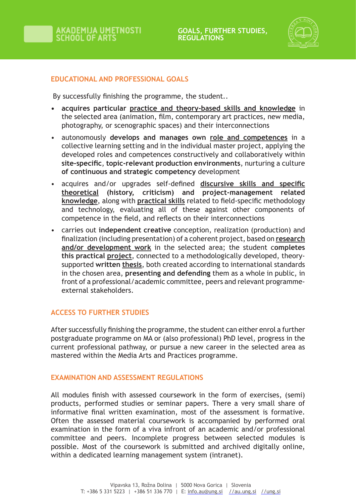

# **EDUCATIONAL AND PROFESSIONAL GOALS**

By successfully finishing the programme, the student..

- **• acquires particular practice and theory-based skills and knowledge** in the selected area (animation, film, contemporary art practices, new media, photography, or scenographic spaces) and their interconnections
- autonomously **develops and manages own role and competences** in a collective learning setting and in the individual master project, applying the developed roles and competences constructively and collaboratively within **site-specific**, **topic-relevant production environments**, nurturing a culture **of continuous and strategic competency** development
- acquires and/or upgrades self-defined **discursive skills and specific theoretical (history, criticism) and project-management related knowledge**, along with **practical skills** related to field-specific methodology and technology, evaluating all of these against other components of competence in the field, and reflects on their interconnections
- carries out **independent creative** conception, realization (production) and finalization (including presentation) of a coherent project, based on **research and/or development work** in the selected area; the student c**ompletes this practical project**, connected to a methodologically developed, theorysupported **written thesis**, both created according to international standards in the chosen area, **presenting and defending** them as a whole in public, in front of a professional/academic committee, peers and relevant programmeexternal stakeholders.

# **ACCESS TO FURTHER STUDIES**

After successfully finishing the programme, the student can either enrol a further postgraduate programme on MA or (also professional) PhD level, progress in the current professional pathway, or pursue a new career in the selected area as mastered within the Media Arts and Practices programme.

### **EXAMINATION AND ASSESSMENT REGULATIONS**

All modules finish with assessed coursework in the form of exercises, (semi) products, performed studies or seminar papers. There a very small share of informative final written examination, most of the assessment is formative. Often the assessed material coursework is accompanied by performed oral examination in the form of a viva infront of an academic and/or professional committee and peers. Incomplete progress between selected modules is possible. Most of the coursework is submitted and archived digitally online, within a dedicated learning management system (intranet).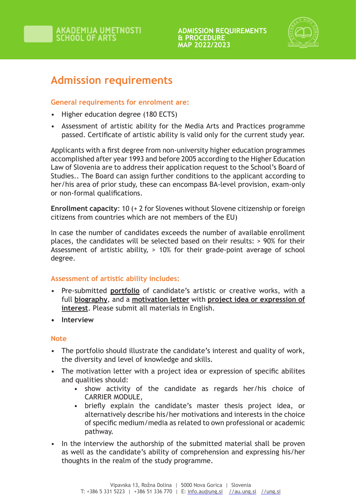

# **Admission requirements**

**General requirements for enrolment are:**

- Higher education degree (180 ECTS)
- Assessment of artistic ability for the Media Arts and Practices programme passed. Certificate of artistic ability is valid only for the current study year.

Applicants with a first degree from non-university higher education programmes accomplished after year 1993 and before 2005 according to the Higher Education Law of Slovenia are to address their application request to the School's Board of Studies.. The Board can assign further conditions to the applicant according to her/his area of prior study, these can encompass BA-level provision, exam-only or non-formal qualifications.

**Enrollment capacity**: 10 (+ 2 for Slovenes without Slovene citizenship or foreign citizens from countries which are not members of the EU)

In case the number of candidates exceeds the number of available enrollment places, the candidates will be selected based on their results: > 90% for their Assessment of artistic ability, > 10% for their grade-point average of school degree.

# **Assessment of artistic ability includes:**

- Pre-submitted **portfolio** of candidate's artistic or creative works, with a full **biography**, and a **motivation letter** with **project idea or expression of interest**. Please submit all materials in English.
- **• Interview**

# **Note**

- The portfolio should illustrate the candidate's interest and quality of work, the diversity and level of knowledge and skills.
- The motivation letter with a project idea or expression of specific abilites and qualities should:
	- show activity of the candidate as regards her/his choice of CARRIER MODULE,
	- briefly explain the candidate's master thesis project idea, or alternatively describe his/her motivations and interests in the choice of specific medium/media as related to own professional or academic pathway.
- In the interview the authorship of the submitted material shall be proven as well as the candidate's ability of comprehension and expressing his/her thoughts in the realm of the study programme.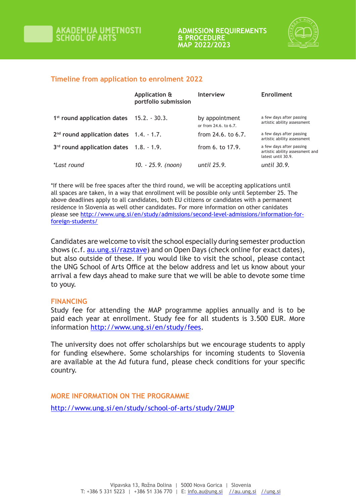

## **Timeline from application to enrolment 2022**

|                                                       | Application &<br>portfolio submission | <b>Interview</b>                        | Enrollment                                                                        |
|-------------------------------------------------------|---------------------------------------|-----------------------------------------|-----------------------------------------------------------------------------------|
| 1 <sup>st</sup> round application dates 15.2. - 30.3. |                                       | by appointment<br>or from 24.6, to 6.7. | a few days after passing<br>artistic ability assessment                           |
| $2nd$ round application dates $1.4. - 1.7$ .          |                                       | from $24.6.$ to $6.7.$                  | a few days after passing<br>artistic ability assessment                           |
| $3rd$ round application dates $1.8. - 1.9$ .          |                                       | from 6, to 17.9.                        | a few days after passing<br>artistic ability assessment and<br>latest until 30.9. |
| <i>*Last round</i>                                    | 10. - 25.9. (noon)                    | until 25.9.                             | until 30.9.                                                                       |

\*If there will be free spaces after the third round, we will be accepting applications until all spaces are taken, in a way that enrollment will be possible only until September 25. The above deadlines apply to all candidates, both EU citizens or candidates with a permanent residence in Slovenia as well other candidates. For more information on other canidates please see http://www.ung.si/en/study/admissions/second-level-admissions/information-forforeign-students/

Candidates are welcome to visit the school especially during semester production shows (c.f. au.ung.si/razstave) and on Open Days (check online for exact dates), but also outside of these. If you would like to visit the school, please contact the UNG School of Arts Office at the below address and let us know about your arrival a few days ahead to make sure that we will be able to devote some time to youy.

### **FINANCING**

Study fee for attending the MAP programme applies annually and is to be paid each year at enrollment. Study fee for all students is 3.500 EUR. More information http://www.ung.si/en/study/fees.

The university does not offer scholarships but we encourage students to apply for funding elsewhere. Some scholarships for incoming students to Slovenia are available at the Ad futura fund, please check conditions for your specific country.

**MORE INFORMATION ON THE PROGRAMME** http://www.ung.si/en/study/school-of-arts/study/2MUP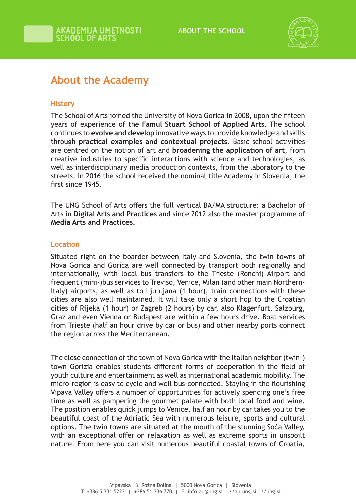

# **About the Academy**

# **History**

The School of Arts joined the University of Nova Gorica in 2008, upon the fifteen years of experience of the **Famul Stuart School of Applied Arts**. The school continues to **evolve and develop** innovative ways to provide knowledge and skills through **practical examples and contextual projects**. Basic school activities are centred on the notion of art and **broadening the application of art**, from creative industries to specific interactions with science and technologies, as well as interdisciplinary media production contexts, from the laboratory to the streets. In 2016 the school received the nominal title Academy in Slovenia, the first since 1945.

The UNG School of Arts offers the full vertical BA/MA structure: a Bachelor of Arts in **Digital Arts and Practices** and since 2012 also the master programme of **Media Arts and Practices.** 

## **Location**

Situated right on the boarder between Italy and Slovenia, the twin towns of Nova Gorica and Gorica are well connected by transport both regionally and internationally, with local bus transfers to the Trieste (Ronchi) Airport and frequent (mini-)bus services to Treviso, Venice, Milan (and other main Northern-Italy) airports, as well as to Ljubljana (1 hour), train connections with these cities are also well maintained. It will take only a short hop to the Croatian cities of Rijeka (1 hour) or Zagreb (2 hours) by car, also Klagenfurt, Salzburg, Graz and even Vienna or Budapest are within a few hours drive. Boat services from Trieste (half an hour drive by car or bus) and other nearby ports connect the region across the Mediterranean.

The close connection of the town of Nova Gorica with the Italian neighbor (twin-) town Gorizia enables students different forms of cooperation in the field of youth culture and entertainment as well as international academic mobility. The micro-region is easy to cycle and well bus-connected. Staying in the flourishing Vipava Valley offers a number of opportunities for actively spending one's free time as well as pampering the gourmet palate with both local food and wine. The position enables quick jumps to Venice, half an hour by car takes you to the beautiful coast of the Adriatic Sea with numerous leisure, sports and cultural options. The twin towns are situated at the mouth of the stunning Soča Valley, with an exceptional offer on relaxation as well as extreme sports in unspoilt nature. From here you can visit numerous beautiful coastal towns of Croatia,